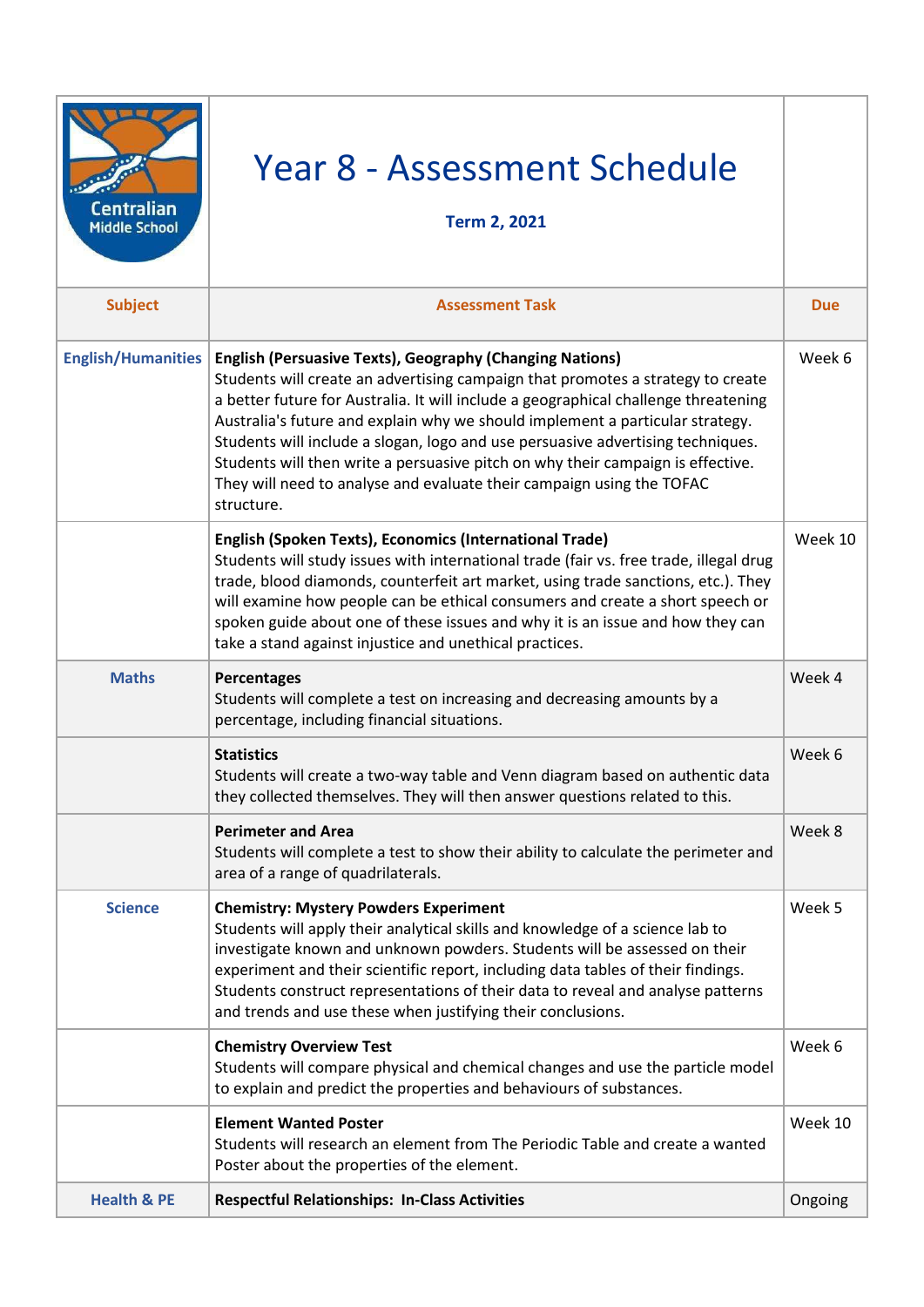| <b>Centralian</b><br><b>Middle School</b> | Year 8 - Assessment Schedule<br><b>Term 2, 2021</b>                                                                                                                                                                                                                                                                                                                                                                                                                                                                                                                                     |            |
|-------------------------------------------|-----------------------------------------------------------------------------------------------------------------------------------------------------------------------------------------------------------------------------------------------------------------------------------------------------------------------------------------------------------------------------------------------------------------------------------------------------------------------------------------------------------------------------------------------------------------------------------------|------------|
| <b>Subject</b>                            | <b>Assessment Task</b>                                                                                                                                                                                                                                                                                                                                                                                                                                                                                                                                                                  | <b>Due</b> |
| <b>English/Humanities</b>                 | <b>English (Persuasive Texts), Geography (Changing Nations)</b><br>Students will create an advertising campaign that promotes a strategy to create<br>a better future for Australia. It will include a geographical challenge threatening<br>Australia's future and explain why we should implement a particular strategy.<br>Students will include a slogan, logo and use persuasive advertising techniques.<br>Students will then write a persuasive pitch on why their campaign is effective.<br>They will need to analyse and evaluate their campaign using the TOFAC<br>structure. | Week 6     |
|                                           | English (Spoken Texts), Economics (International Trade)<br>Students will study issues with international trade (fair vs. free trade, illegal drug<br>trade, blood diamonds, counterfeit art market, using trade sanctions, etc.). They<br>will examine how people can be ethical consumers and create a short speech or<br>spoken guide about one of these issues and why it is an issue and how they can<br>take a stand against injustice and unethical practices.                                                                                                                    | Week 10    |
| <b>Maths</b>                              | Percentages<br>Students will complete a test on increasing and decreasing amounts by a<br>percentage, including financial situations.                                                                                                                                                                                                                                                                                                                                                                                                                                                   | Week 4     |
|                                           | <b>Statistics</b><br>Students will create a two-way table and Venn diagram based on authentic data<br>they collected themselves. They will then answer questions related to this.                                                                                                                                                                                                                                                                                                                                                                                                       | Week 6     |
|                                           | <b>Perimeter and Area</b><br>Students will complete a test to show their ability to calculate the perimeter and<br>area of a range of quadrilaterals.                                                                                                                                                                                                                                                                                                                                                                                                                                   | Week 8     |
| <b>Science</b>                            | <b>Chemistry: Mystery Powders Experiment</b><br>Students will apply their analytical skills and knowledge of a science lab to<br>investigate known and unknown powders. Students will be assessed on their<br>experiment and their scientific report, including data tables of their findings.<br>Students construct representations of their data to reveal and analyse patterns<br>and trends and use these when justifying their conclusions.                                                                                                                                        | Week 5     |
|                                           | <b>Chemistry Overview Test</b><br>Students will compare physical and chemical changes and use the particle model<br>to explain and predict the properties and behaviours of substances.                                                                                                                                                                                                                                                                                                                                                                                                 | Week 6     |
|                                           | <b>Element Wanted Poster</b><br>Students will research an element from The Periodic Table and create a wanted<br>Poster about the properties of the element.                                                                                                                                                                                                                                                                                                                                                                                                                            | Week 10    |
| <b>Health &amp; PE</b>                    | <b>Respectful Relationships: In-Class Activities</b>                                                                                                                                                                                                                                                                                                                                                                                                                                                                                                                                    | Ongoing    |